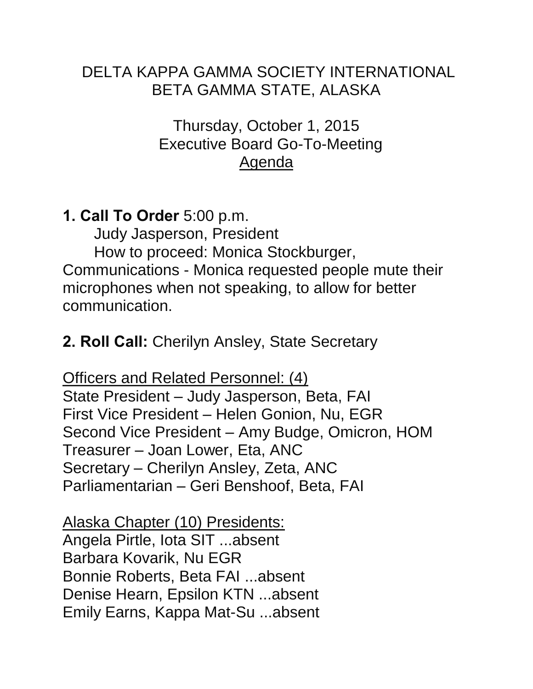### DELTA KAPPA GAMMA SOCIETY INTERNATIONAL BETA GAMMA STATE, ALASKA

Thursday, October 1, 2015 Executive Board Go-To-Meeting Agenda

# **1. Call To Order** 5:00 p.m.

 Judy Jasperson, President How to proceed: Monica Stockburger, Communications - Monica requested people mute their microphones when not speaking, to allow for better communication.

# **2. Roll Call:** Cherilyn Ansley, State Secretary

Officers and Related Personnel: (4) State President – Judy Jasperson, Beta, FAI First Vice President – Helen Gonion, Nu, EGR Second Vice President – Amy Budge, Omicron, HOM Treasurer – Joan Lower, Eta, ANC Secretary – Cherilyn Ansley, Zeta, ANC Parliamentarian – Geri Benshoof, Beta, FAI

Alaska Chapter (10) Presidents: Angela Pirtle, Iota SIT ...absent Barbara Kovarik, Nu EGR Bonnie Roberts, Beta FAI ...absent Denise Hearn, Epsilon KTN ...absent Emily Earns, Kappa Mat-Su ...absent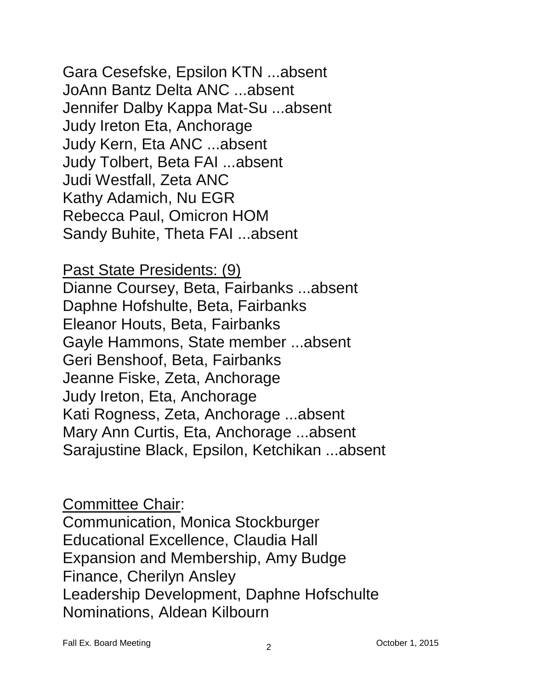Gara Cesefske, Epsilon KTN ...absent JoAnn Bantz Delta ANC ...absent Jennifer Dalby Kappa Mat-Su ...absent Judy Ireton Eta, Anchorage Judy Kern, Eta ANC ...absent Judy Tolbert, Beta FAI ...absent Judi Westfall, Zeta ANC Kathy Adamich, Nu EGR Rebecca Paul, Omicron HOM Sandy Buhite, Theta FAI ...absent

Past State Presidents: (9) Dianne Coursey, Beta, Fairbanks ...absent Daphne Hofshulte, Beta, Fairbanks Eleanor Houts, Beta, Fairbanks Gayle Hammons, State member ...absent Geri Benshoof, Beta, Fairbanks Jeanne Fiske, Zeta, Anchorage Judy Ireton, Eta, Anchorage Kati Rogness, Zeta, Anchorage ...absent Mary Ann Curtis, Eta, Anchorage ...absent Sarajustine Black, Epsilon, Ketchikan ...absent

Committee Chair: Communication, Monica Stockburger Educational Excellence, Claudia Hall Expansion and Membership, Amy Budge Finance, Cherilyn Ansley Leadership Development, Daphne Hofschulte Nominations, Aldean Kilbourn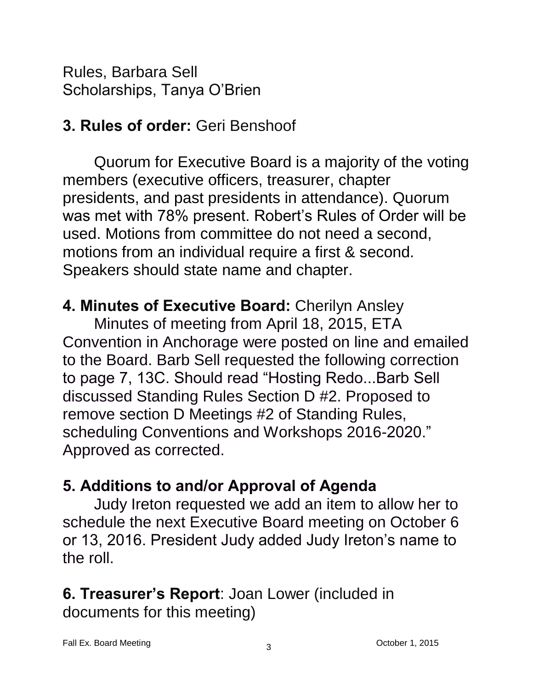Rules, Barbara Sell Scholarships, Tanya O'Brien

# **3. Rules of order:** Geri Benshoof

Quorum for Executive Board is a majority of the voting members (executive officers, treasurer, chapter presidents, and past presidents in attendance). Quorum was met with 78% present. Robert's Rules of Order will be used. Motions from committee do not need a second, motions from an individual require a first & second. Speakers should state name and chapter.

### **4. Minutes of Executive Board:** Cherilyn Ansley

Minutes of meeting from April 18, 2015, ETA Convention in Anchorage were posted on line and emailed to the Board. Barb Sell requested the following correction to page 7, 13C. Should read "Hosting Redo...Barb Sell discussed Standing Rules Section D #2. Proposed to remove section D Meetings #2 of Standing Rules, scheduling Conventions and Workshops 2016-2020." Approved as corrected.

# **5. Additions to and/or Approval of Agenda**

Judy Ireton requested we add an item to allow her to schedule the next Executive Board meeting on October 6 or 13, 2016. President Judy added Judy Ireton's name to the roll.

#### **6. Treasurer's Report**: Joan Lower (included in documents for this meeting)

Fall Ex. Board Meeting Communication Communication Communication Communication Communication Communication Communication Communication Communication Communication Communication Communication Communication Communication Com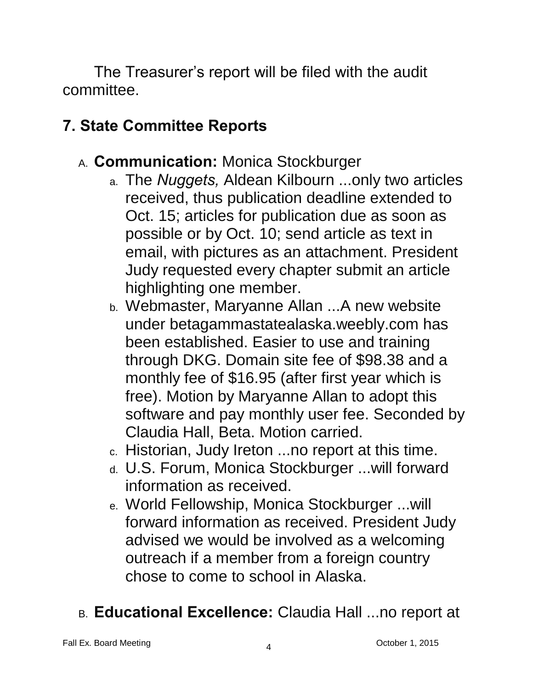The Treasurer's report will be filed with the audit committee.

# **7. State Committee Reports**

- A. **Communication:** Monica Stockburger
	- a. The *Nuggets,* Aldean Kilbourn ...only two articles received, thus publication deadline extended to Oct. 15; articles for publication due as soon as possible or by Oct. 10; send article as text in email, with pictures as an attachment. President Judy requested every chapter submit an article highlighting one member.
	- b. Webmaster, Maryanne Allan ...A new website under betagammastatealaska.weebly.com has been established. Easier to use and training through DKG. Domain site fee of \$98.38 and a monthly fee of \$16.95 (after first year which is free). Motion by Maryanne Allan to adopt this software and pay monthly user fee. Seconded by Claudia Hall, Beta. Motion carried.
	- c. Historian, Judy Ireton ...no report at this time.
	- d. U.S. Forum, Monica Stockburger ...will forward information as received.
	- e. World Fellowship, Monica Stockburger ...will forward information as received. President Judy advised we would be involved as a welcoming outreach if a member from a foreign country chose to come to school in Alaska.
- B. **Educational Excellence:** Claudia Hall ...no report at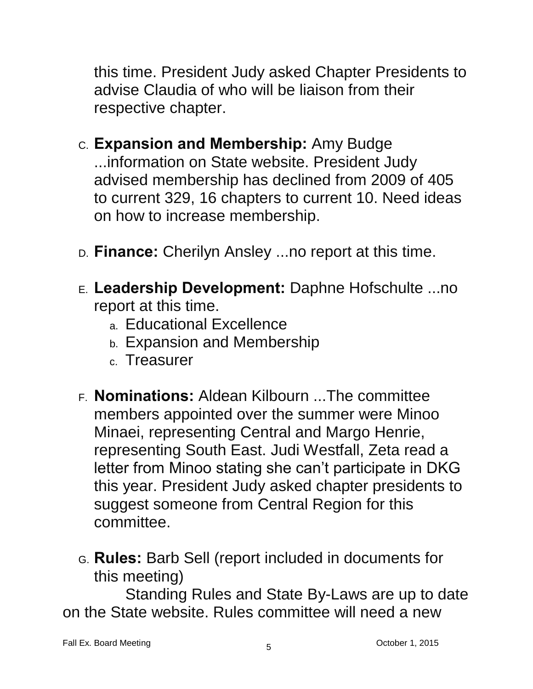this time. President Judy asked Chapter Presidents to advise Claudia of who will be liaison from their respective chapter.

- C. **Expansion and Membership:** Amy Budge ...information on State website. President Judy advised membership has declined from 2009 of 405 to current 329, 16 chapters to current 10. Need ideas on how to increase membership.
- D. **Finance:** Cherilyn Ansley ...no report at this time.
- E. **Leadership Development:** Daphne Hofschulte ...no report at this time.
	- a. Educational Excellence
	- b. Expansion and Membership
	- c. Treasurer
- F. **Nominations:** Aldean Kilbourn ...The committee members appointed over the summer were Minoo Minaei, representing Central and Margo Henrie, representing South East. Judi Westfall, Zeta read a letter from Minoo stating she can't participate in DKG this year. President Judy asked chapter presidents to suggest someone from Central Region for this committee.
- G. **Rules:** Barb Sell (report included in documents for this meeting)

Standing Rules and State By-Laws are up to date on the State website. Rules committee will need a new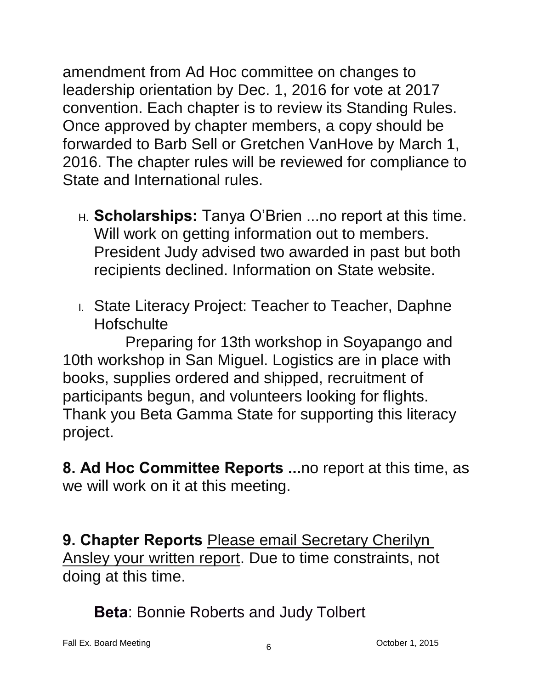amendment from Ad Hoc committee on changes to leadership orientation by Dec. 1, 2016 for vote at 2017 convention. Each chapter is to review its Standing Rules. Once approved by chapter members, a copy should be forwarded to Barb Sell or Gretchen VanHove by March 1, 2016. The chapter rules will be reviewed for compliance to State and International rules.

- H. **Scholarships:** Tanya O'Brien ...no report at this time. Will work on getting information out to members. President Judy advised two awarded in past but both recipients declined. Information on State website.
- I. State Literacy Project: Teacher to Teacher, Daphne **Hofschulte**

Preparing for 13th workshop in Soyapango and 10th workshop in San Miguel. Logistics are in place with books, supplies ordered and shipped, recruitment of participants begun, and volunteers looking for flights. Thank you Beta Gamma State for supporting this literacy project.

**8. Ad Hoc Committee Reports ...**no report at this time, as we will work on it at this meeting.

**9. Chapter Reports** Please email Secretary Cherilyn Ansley your written report. Due to time constraints, not doing at this time.

**Beta**: Bonnie Roberts and Judy Tolbert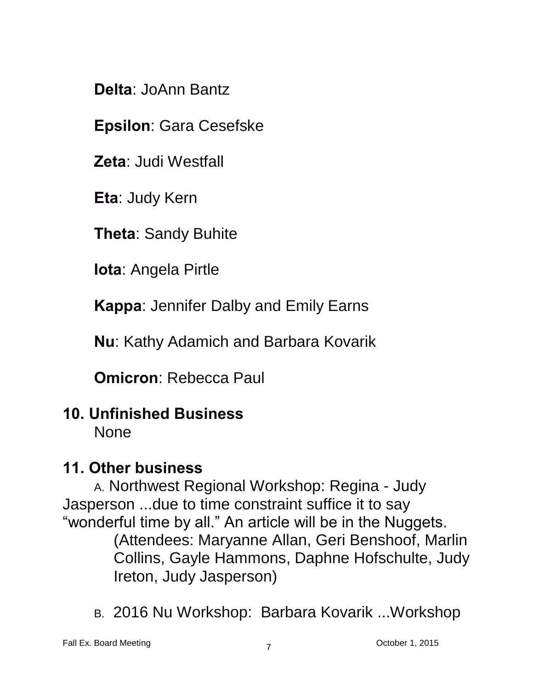**Delta**: JoAnn Bantz

**Epsilon**: Gara Cesefske

**Zeta**: Judi Westfall

**Eta**: Judy Kern

**Theta**: Sandy Buhite

**Iota**: Angela Pirtle

**Kappa**: Jennifer Dalby and Emily Earns

**Nu**: Kathy Adamich and Barbara Kovarik

**Omicron**: Rebecca Paul

# **10. Unfinished Business**

None

### **11. Other business**

A. Northwest Regional Workshop: Regina - Judy Jasperson ...due to time constraint suffice it to say "wonderful time by all." An article will be in the Nuggets. (Attendees: Maryanne Allan, Geri Benshoof, Marlin Collins, Gayle Hammons, Daphne Hofschulte, Judy Ireton, Judy Jasperson)

B. 2016 Nu Workshop: Barbara Kovarik ...Workshop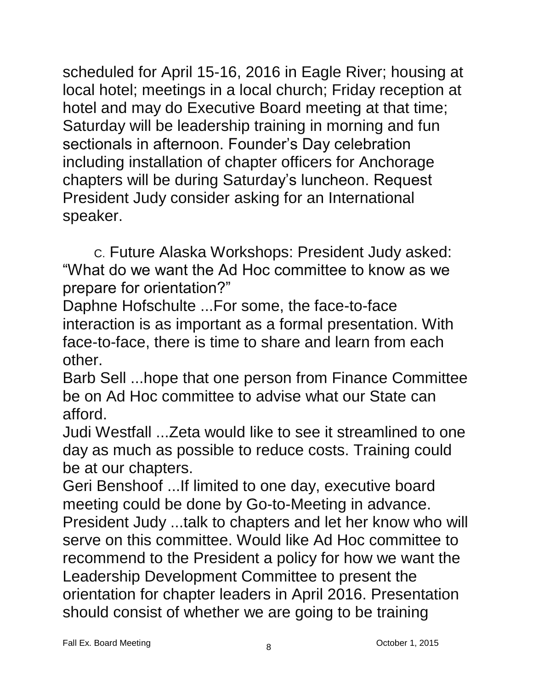scheduled for April 15-16, 2016 in Eagle River; housing at local hotel; meetings in a local church; Friday reception at hotel and may do Executive Board meeting at that time; Saturday will be leadership training in morning and fun sectionals in afternoon. Founder's Day celebration including installation of chapter officers for Anchorage chapters will be during Saturday's luncheon. Request President Judy consider asking for an International speaker.

C. Future Alaska Workshops: President Judy asked: "What do we want the Ad Hoc committee to know as we prepare for orientation?"

Daphne Hofschulte ...For some, the face-to-face interaction is as important as a formal presentation. With face-to-face, there is time to share and learn from each other.

Barb Sell ...hope that one person from Finance Committee be on Ad Hoc committee to advise what our State can afford.

Judi Westfall ...Zeta would like to see it streamlined to one day as much as possible to reduce costs. Training could be at our chapters.

Geri Benshoof ...If limited to one day, executive board meeting could be done by Go-to-Meeting in advance. President Judy ...talk to chapters and let her know who will serve on this committee. Would like Ad Hoc committee to recommend to the President a policy for how we want the Leadership Development Committee to present the orientation for chapter leaders in April 2016. Presentation should consist of whether we are going to be training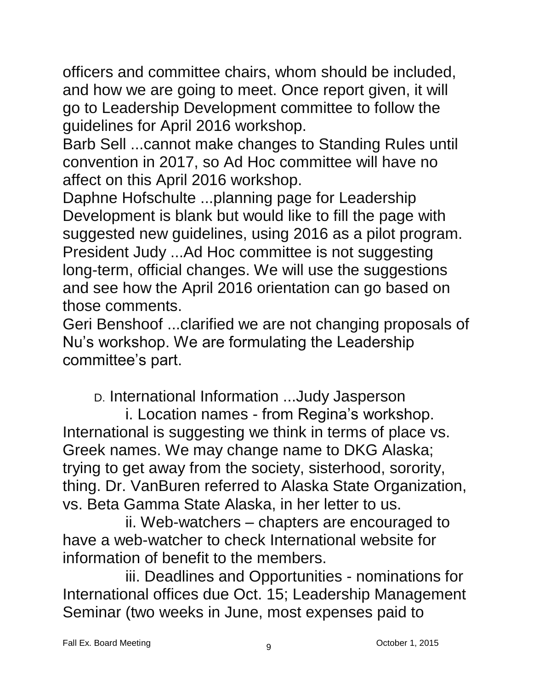officers and committee chairs, whom should be included, and how we are going to meet. Once report given, it will go to Leadership Development committee to follow the guidelines for April 2016 workshop.

Barb Sell ...cannot make changes to Standing Rules until convention in 2017, so Ad Hoc committee will have no affect on this April 2016 workshop.

Daphne Hofschulte ...planning page for Leadership Development is blank but would like to fill the page with suggested new guidelines, using 2016 as a pilot program. President Judy ...Ad Hoc committee is not suggesting long-term, official changes. We will use the suggestions and see how the April 2016 orientation can go based on those comments.

Geri Benshoof ...clarified we are not changing proposals of Nu's workshop. We are formulating the Leadership committee's part.

D. International Information ...Judy Jasperson

i. Location names - from Regina's workshop. International is suggesting we think in terms of place vs. Greek names. We may change name to DKG Alaska; trying to get away from the society, sisterhood, sorority, thing. Dr. VanBuren referred to Alaska State Organization, vs. Beta Gamma State Alaska, in her letter to us.

ii. Web-watchers – chapters are encouraged to have a web-watcher to check International website for information of benefit to the members.

iii. Deadlines and Opportunities - nominations for International offices due Oct. 15; Leadership Management Seminar (two weeks in June, most expenses paid to

Fall Ex. Board Meeting Communication Communication Communication Communication Communication Communication Communication Communication Communication Communication Communication Communication Communication Communication Com